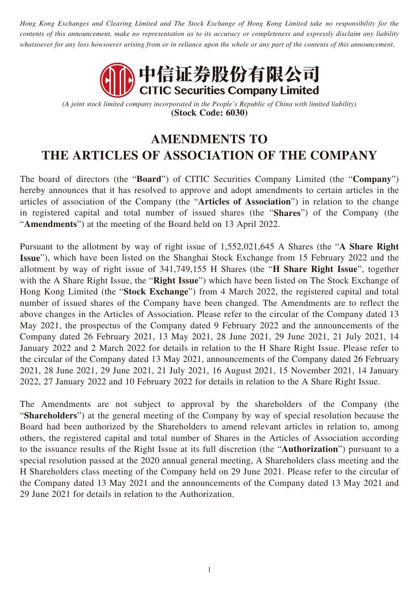*Hong Kong Exchanges and Clearing Limited and The Stock Exchange of Hong Kong Limited take no responsibility for the contents of this announcement, make no representation as to its accuracy or completeness and expressly disclaim any liability whatsoever for any loss howsoever arising from or in reliance upon the whole or any part of the contents of this announcement.*



*(A joint stock limited company incorporated in the People's Republic of China with limited liability)* **(Stock Code: 6030)**

## **AMENDMENTS TO THE ARTICLES OF ASSOCIATION OF THE COMPANY**

The board of directors (the "**Board**") of CITIC Securities Company Limited (the "**Company**") hereby announces that it has resolved to approve and adopt amendments to certain articles in the articles of association of the Company (the "**Articles of Association**") in relation to the change in registered capital and total number of issued shares (the "**Shares**") of the Company (the "**Amendments**") at the meeting of the Board held on 13 April 2022.

Pursuant to the allotment by way of right issue of 1,552,021,645 A Shares (the "**A Share Right Issue**"), which have been listed on the Shanghai Stock Exchange from 15 February 2022 and the allotment by way of right issue of 341,749,155 H Shares (the "**H Share Right Issue**", together with the A Share Right Issue, the "**Right Issue**") which have been listed on The Stock Exchange of Hong Kong Limited (the "**Stock Exchange**") from 4 March 2022, the registered capital and total number of issued shares of the Company have been changed. The Amendments are to reflect the above changes in the Articles of Association. Please refer to the circular of the Company dated 13 May 2021, the prospectus of the Company dated 9 February 2022 and the announcements of the Company dated 26 February 2021, 13 May 2021, 28 June 2021, 29 June 2021, 21 July 2021, 14 January 2022 and 2 March 2022 for details in relation to the H Share Right Issue. Please refer to the circular of the Company dated 13 May 2021, announcements of the Company dated 26 February 2021, 28 June 2021, 29 June 2021, 21 July 2021, 16 August 2021, 15 November 2021, 14 January 2022, 27 January 2022 and 10 February 2022 for details in relation to the A Share Right Issue.

The Amendments are not subject to approval by the shareholders of the Company (the "**Shareholders**") at the general meeting of the Company by way of special resolution because the Board had been authorized by the Shareholders to amend relevant articles in relation to, among others, the registered capital and total number of Shares in the Articles of Association according to the issuance results of the Right Issue at its full discretion (the "**Authorization**") pursuant to a special resolution passed at the 2020 annual general meeting, A Shareholders class meeting and the H Shareholders class meeting of the Company held on 29 June 2021. Please refer to the circular of the Company dated 13 May 2021 and the announcements of the Company dated 13 May 2021 and 29 June 2021 for details in relation to the Authorization.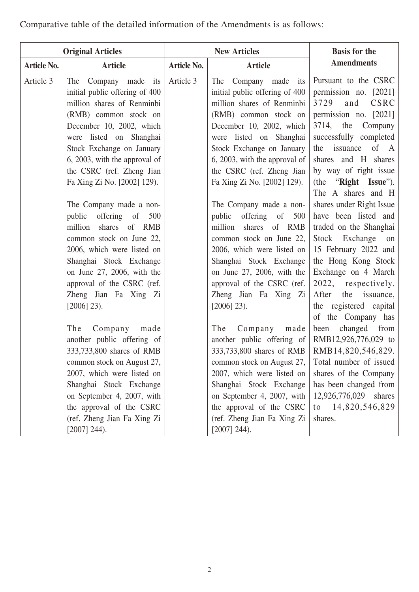| <b>Original Articles</b> |                                                                                                                                                                                                                                                                                                |                    | <b>New Articles</b>                                                                                                                                                                                                                                                                            | <b>Basis for the</b>                                                                                                                                                                                                                                                                         |
|--------------------------|------------------------------------------------------------------------------------------------------------------------------------------------------------------------------------------------------------------------------------------------------------------------------------------------|--------------------|------------------------------------------------------------------------------------------------------------------------------------------------------------------------------------------------------------------------------------------------------------------------------------------------|----------------------------------------------------------------------------------------------------------------------------------------------------------------------------------------------------------------------------------------------------------------------------------------------|
| <b>Article No.</b>       | <b>Article</b>                                                                                                                                                                                                                                                                                 | <b>Article No.</b> | <b>Article</b>                                                                                                                                                                                                                                                                                 | <b>Amendments</b>                                                                                                                                                                                                                                                                            |
| Article 3                | The Company made its<br>initial public offering of 400<br>million shares of Renminbi<br>(RMB) common stock on<br>December 10, 2002, which<br>were listed on Shanghai<br>Stock Exchange on January<br>6, 2003, with the approval of<br>the CSRC (ref. Zheng Jian<br>Fa Xing Zi No. [2002] 129). | Article 3          | The Company made its<br>initial public offering of 400<br>million shares of Renminbi<br>(RMB) common stock on<br>December 10, 2002, which<br>were listed on Shanghai<br>Stock Exchange on January<br>6, 2003, with the approval of<br>the CSRC (ref. Zheng Jian<br>Fa Xing Zi No. [2002] 129). | Pursuant to the CSRC<br>permission no. [2021]<br>3729 and<br>CSRC<br>permission no. [2021]<br>3714, the<br>Company<br>successfully completed<br>the issuance<br>of A<br>shares and H shares<br>by way of right issue<br>(the "Right Issue").                                                 |
|                          | The Company made a non-<br>public offering of<br>500<br>million<br>shares of RMB<br>common stock on June 22,<br>2006, which were listed on<br>Shanghai Stock Exchange<br>on June 27, 2006, with the<br>approval of the CSRC (ref.<br>Zheng Jian Fa Xing Zi<br>$[2006]$ 23).                    |                    | The Company made a non-<br>offering of<br>public<br>500<br>million<br>shares of RMB<br>common stock on June 22,<br>2006, which were listed on<br>Shanghai Stock Exchange<br>on June 27, 2006, with the<br>approval of the CSRC (ref.<br>Zheng Jian Fa Xing Zi<br>$[2006]$ 23).                 | The A shares and H<br>shares under Right Issue<br>have been listed and<br>traded on the Shanghai<br>Stock Exchange on<br>15 February 2022 and<br>the Hong Kong Stock<br>Exchange on 4 March<br>2022, respectively.<br>After<br>the issuance,<br>the registered capital<br>of the Company has |
|                          | The<br>Company<br>made<br>another public offering of<br>333,733,800 shares of RMB<br>common stock on August 27,<br>2007, which were listed on<br>Shanghai Stock Exchange<br>on September 4, 2007, with<br>the approval of the CSRC<br>(ref. Zheng Jian Fa Xing Zi<br>$[2007]$ 244).            |                    | The<br>made<br>Company<br>another public offering of<br>333,733,800 shares of RMB<br>common stock on August 27,<br>2007, which were listed on<br>Shanghai Stock Exchange<br>on September 4, 2007, with<br>the approval of the CSRC<br>(ref. Zheng Jian Fa Xing Zi<br>$[2007]$ 244).            | changed<br>from<br>been<br>RMB12,926,776,029 to<br>RMB14,820,546,829.<br>Total number of issued<br>shares of the Company<br>has been changed from<br>12,926,776,029<br>shares<br>to 14,820,546,829<br>shares.                                                                                |

Comparative table of the detailed information of the Amendments is as follows: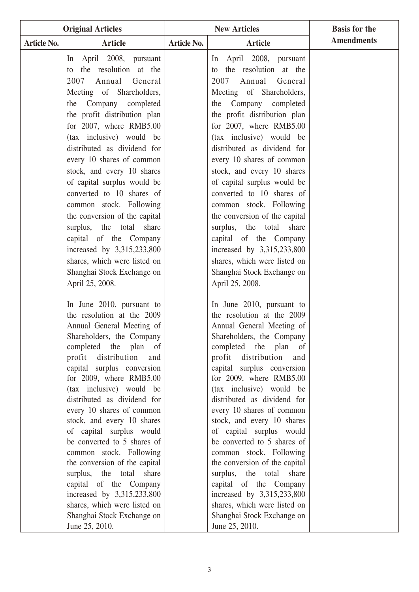| <b>Original Articles</b> |                                                                                                                                                                                                                                                                                                                                                                                                                                                                                                                                                                                                                                                                                                                                        | <b>New Articles</b> |                                                                                                                                                                                                                                                                                                                                                                                                                                                                                                                                                                                                                                                                                                                                        | <b>Basis for the</b> |
|--------------------------|----------------------------------------------------------------------------------------------------------------------------------------------------------------------------------------------------------------------------------------------------------------------------------------------------------------------------------------------------------------------------------------------------------------------------------------------------------------------------------------------------------------------------------------------------------------------------------------------------------------------------------------------------------------------------------------------------------------------------------------|---------------------|----------------------------------------------------------------------------------------------------------------------------------------------------------------------------------------------------------------------------------------------------------------------------------------------------------------------------------------------------------------------------------------------------------------------------------------------------------------------------------------------------------------------------------------------------------------------------------------------------------------------------------------------------------------------------------------------------------------------------------------|----------------------|
| <b>Article No.</b>       | <b>Article</b>                                                                                                                                                                                                                                                                                                                                                                                                                                                                                                                                                                                                                                                                                                                         | <b>Article No.</b>  | <b>Article</b>                                                                                                                                                                                                                                                                                                                                                                                                                                                                                                                                                                                                                                                                                                                         | <b>Amendments</b>    |
|                          | April 2008, pursuant<br>ln<br>the resolution at the<br>to<br>Annual General<br>2007<br>Meeting of Shareholders,<br>the Company completed<br>the profit distribution plan<br>for 2007, where RMB5.00<br>(tax inclusive) would be<br>distributed as dividend for<br>every 10 shares of common<br>stock, and every 10 shares<br>of capital surplus would be<br>converted to 10 shares of<br>common stock. Following<br>the conversion of the capital<br>surplus, the total share<br>capital of the Company<br>increased by 3,315,233,800                                                                                                                                                                                                  |                     | In April 2008, pursuant<br>the resolution at the<br>to<br>2007<br>Annual<br>General<br>Meeting of Shareholders,<br>the Company completed<br>the profit distribution plan<br>for 2007, where RMB5.00<br>(tax inclusive) would be<br>distributed as dividend for<br>every 10 shares of common<br>stock, and every 10 shares<br>of capital surplus would be<br>converted to 10 shares of<br>common stock. Following<br>the conversion of the capital<br>surplus, the total share<br>capital of the Company<br>increased by 3,315,233,800                                                                                                                                                                                                  |                      |
|                          | shares, which were listed on<br>Shanghai Stock Exchange on<br>April 25, 2008.<br>In June 2010, pursuant to<br>the resolution at the 2009<br>Annual General Meeting of<br>Shareholders, the Company<br>completed the plan of<br>profit distribution<br>and<br>capital surplus conversion<br>for 2009, where RMB5.00<br>(tax inclusive) would be<br>distributed as dividend for<br>every 10 shares of common<br>stock, and every 10 shares<br>of capital surplus would<br>be converted to 5 shares of<br>common stock. Following<br>the conversion of the capital<br>surplus, the total<br>share<br>capital of the Company<br>increased by 3,315,233,800<br>shares, which were listed on<br>Shanghai Stock Exchange on<br>June 25, 2010. |                     | shares, which were listed on<br>Shanghai Stock Exchange on<br>April 25, 2008.<br>In June 2010, pursuant to<br>the resolution at the 2009<br>Annual General Meeting of<br>Shareholders, the Company<br>completed the plan of<br>profit distribution<br>and<br>capital surplus conversion<br>for 2009, where RMB5.00<br>(tax inclusive) would be<br>distributed as dividend for<br>every 10 shares of common<br>stock, and every 10 shares<br>of capital surplus would<br>be converted to 5 shares of<br>common stock. Following<br>the conversion of the capital<br>surplus, the total<br>share<br>capital of the Company<br>increased by 3,315,233,800<br>shares, which were listed on<br>Shanghai Stock Exchange on<br>June 25, 2010. |                      |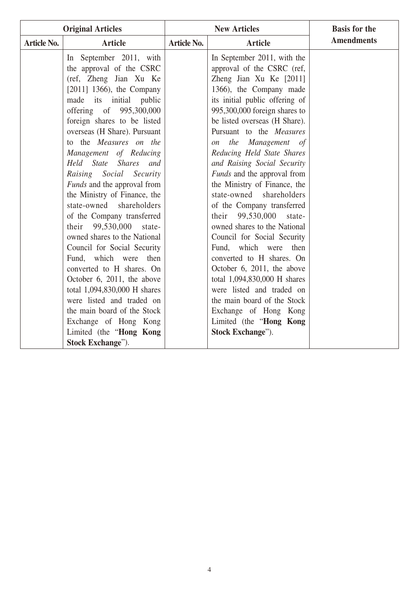| <b>Original Articles</b> |                                                                                                                                                                                                                                                                                                                                                                                                                                                                                                                                                                                                                                                                                                                                                                                                         |                    | <b>New Articles</b>                                                                                                                                                                                                                                                                                                                                                                                                                                                                                                                                                                                                                                                                                                                                                                                                                    | <b>Basis for the</b> |
|--------------------------|---------------------------------------------------------------------------------------------------------------------------------------------------------------------------------------------------------------------------------------------------------------------------------------------------------------------------------------------------------------------------------------------------------------------------------------------------------------------------------------------------------------------------------------------------------------------------------------------------------------------------------------------------------------------------------------------------------------------------------------------------------------------------------------------------------|--------------------|----------------------------------------------------------------------------------------------------------------------------------------------------------------------------------------------------------------------------------------------------------------------------------------------------------------------------------------------------------------------------------------------------------------------------------------------------------------------------------------------------------------------------------------------------------------------------------------------------------------------------------------------------------------------------------------------------------------------------------------------------------------------------------------------------------------------------------------|----------------------|
| <b>Article No.</b>       | <b>Article</b>                                                                                                                                                                                                                                                                                                                                                                                                                                                                                                                                                                                                                                                                                                                                                                                          | <b>Article No.</b> | <b>Article</b>                                                                                                                                                                                                                                                                                                                                                                                                                                                                                                                                                                                                                                                                                                                                                                                                                         | <b>Amendments</b>    |
|                          | In September 2011, with<br>the approval of the CSRC<br>(ref, Zheng Jian Xu Ke<br>$[2011]$ 1366), the Company<br>made its initial public<br>offering of 995,300,000<br>foreign shares to be listed<br>overseas (H Share). Pursuant<br>to the Measures on the<br>Management of Reducing<br>Held State Shares and<br>Raising Social Security<br><i>Funds</i> and the approval from<br>the Ministry of Finance, the<br>state-owned shareholders<br>of the Company transferred<br>their 99,530,000 state-<br>owned shares to the National<br>Council for Social Security<br>Fund, which were then<br>converted to H shares. On<br>October 6, 2011, the above<br>total 1,094,830,000 H shares<br>were listed and traded on<br>the main board of the Stock<br>Exchange of Hong Kong<br>Limited (the "Hong Kong |                    | In September 2011, with the<br>approval of the CSRC (ref,<br>Zheng Jian Xu Ke [2011]<br>1366), the Company made<br>its initial public offering of<br>995,300,000 foreign shares to<br>be listed overseas (H Share).<br>Pursuant to the Measures<br>the Management of<br>$\mathfrak{O}n$<br>Reducing Held State Shares<br>and Raising Social Security<br>Funds and the approval from<br>the Ministry of Finance, the<br>state-owned<br>shareholders<br>of the Company transferred<br>99,530,000 state-<br>their<br>owned shares to the National<br>Council for Social Security<br>Fund, which were then<br>converted to H shares. On<br>October 6, 2011, the above<br>total 1,094,830,000 H shares<br>were listed and traded on<br>the main board of the Stock<br>Exchange of Hong Kong<br>Limited (the "Hong Kong<br>Stock Exchange"). |                      |
|                          | Stock Exchange").                                                                                                                                                                                                                                                                                                                                                                                                                                                                                                                                                                                                                                                                                                                                                                                       |                    |                                                                                                                                                                                                                                                                                                                                                                                                                                                                                                                                                                                                                                                                                                                                                                                                                                        |                      |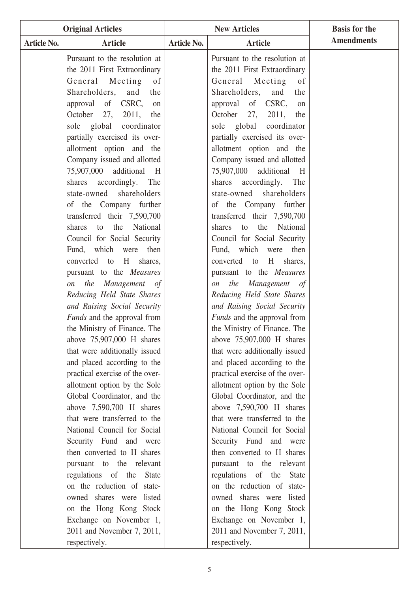|                    | <b>Original Articles</b>                                    |                    | <b>New Articles</b>                                         | <b>Basis for the</b> |
|--------------------|-------------------------------------------------------------|--------------------|-------------------------------------------------------------|----------------------|
| <b>Article No.</b> | <b>Article</b>                                              | <b>Article No.</b> | <b>Article</b>                                              | <b>Amendments</b>    |
|                    | Pursuant to the resolution at                               |                    | Pursuant to the resolution at                               |                      |
|                    | the 2011 First Extraordinary                                |                    | the 2011 First Extraordinary                                |                      |
|                    | Meeting<br>General<br>of                                    |                    | General Meeting<br>of                                       |                      |
|                    | Shareholders, and<br>the                                    |                    | Shareholders,<br>and<br>the                                 |                      |
|                    | of CSRC,<br>approval<br>on                                  |                    | approval of CSRC,<br>on                                     |                      |
|                    | 27,<br>October<br>2011,<br>the                              |                    | 27,<br>2011,<br>October<br>the                              |                      |
|                    | sole global coordinator                                     |                    | sole global coordinator                                     |                      |
|                    | partially exercised its over-                               |                    | partially exercised its over-                               |                      |
|                    | allotment option and the                                    |                    | allotment option and the                                    |                      |
|                    | Company issued and allotted                                 |                    | Company issued and allotted                                 |                      |
|                    | 75,907,000 additional<br>H                                  |                    | 75,907,000 additional<br>H                                  |                      |
|                    | shares<br>accordingly.<br>The                               |                    | shares<br>accordingly. The                                  |                      |
|                    | state-owned shareholders                                    |                    | state-owned shareholders                                    |                      |
|                    | of the Company further                                      |                    | of the Company further                                      |                      |
|                    | transferred their 7,590,700                                 |                    | transferred their 7,590,700                                 |                      |
|                    | the<br>National<br>shares to                                |                    | the<br>National<br>shares<br>to                             |                      |
|                    | Council for Social Security                                 |                    | Council for Social Security                                 |                      |
|                    | Fund, which<br>then<br>were                                 |                    | Fund, which<br>then<br>were                                 |                      |
|                    | converted to<br>H<br>shares,                                |                    | converted to<br>H<br>shares,                                |                      |
|                    | pursuant to the <i>Measures</i>                             |                    | pursuant to the <i>Measures</i>                             |                      |
|                    | the<br>Management of<br><i>on</i>                           |                    | the<br>Management of<br><i>on</i>                           |                      |
|                    | Reducing Held State Shares                                  |                    | Reducing Held State Shares                                  |                      |
|                    | and Raising Social Security                                 |                    | and Raising Social Security                                 |                      |
|                    | <i>Funds</i> and the approval from                          |                    | <i>Funds</i> and the approval from                          |                      |
|                    | the Ministry of Finance. The                                |                    | the Ministry of Finance. The                                |                      |
|                    | above 75,907,000 H shares                                   |                    | above 75,907,000 H shares                                   |                      |
|                    | that were additionally issued                               |                    | that were additionally issued                               |                      |
|                    | and placed according to the                                 |                    | and placed according to the                                 |                      |
|                    | practical exercise of the over-                             |                    | practical exercise of the over-                             |                      |
|                    | allotment option by the Sole<br>Global Coordinator, and the |                    | allotment option by the Sole<br>Global Coordinator, and the |                      |
|                    | above 7,590,700 H shares                                    |                    | above $7,590,700$ H shares                                  |                      |
|                    | that were transferred to the                                |                    | that were transferred to the                                |                      |
|                    | National Council for Social                                 |                    | National Council for Social                                 |                      |
|                    | Security Fund and were                                      |                    | Security Fund and were                                      |                      |
|                    | then converted to H shares                                  |                    | then converted to H shares                                  |                      |
|                    | pursuant to the relevant                                    |                    | pursuant to the relevant                                    |                      |
|                    | regulations of the State                                    |                    | regulations of the State                                    |                      |
|                    | on the reduction of state-                                  |                    | on the reduction of state-                                  |                      |
|                    | owned shares were listed                                    |                    | owned shares were listed                                    |                      |
|                    | on the Hong Kong Stock                                      |                    | on the Hong Kong Stock                                      |                      |
|                    | Exchange on November 1,                                     |                    | Exchange on November 1,                                     |                      |
|                    | 2011 and November 7, 2011,                                  |                    | 2011 and November 7, 2011,                                  |                      |
|                    | respectively.                                               |                    | respectively.                                               |                      |
|                    |                                                             |                    |                                                             |                      |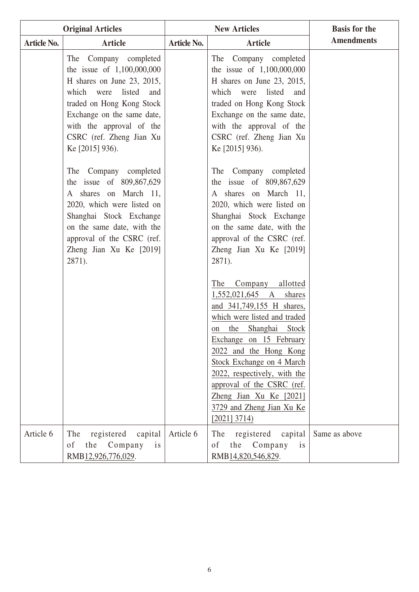|                    | <b>Original Articles</b>                                                                                                                                                                                                                                 | <b>New Articles</b> |                                                                                                                                                                                                                                                                                                                                                                       | <b>Basis for the</b> |
|--------------------|----------------------------------------------------------------------------------------------------------------------------------------------------------------------------------------------------------------------------------------------------------|---------------------|-----------------------------------------------------------------------------------------------------------------------------------------------------------------------------------------------------------------------------------------------------------------------------------------------------------------------------------------------------------------------|----------------------|
| <b>Article No.</b> | <b>Article</b>                                                                                                                                                                                                                                           | <b>Article No.</b>  | <b>Article</b>                                                                                                                                                                                                                                                                                                                                                        | <b>Amendments</b>    |
|                    | The Company completed<br>the issue of $1,100,000,000$<br>H shares on June 23, 2015,<br>listed<br>which were<br>and<br>traded on Hong Kong Stock<br>Exchange on the same date,<br>with the approval of the<br>CSRC (ref. Zheng Jian Xu<br>Ke [2015] 936). |                     | The Company completed<br>the issue of $1,100,000,000$<br>H shares on June 23, 2015,<br>listed<br>which were<br>and<br>traded on Hong Kong Stock<br>Exchange on the same date,<br>with the approval of the<br>CSRC (ref. Zheng Jian Xu<br>Ke [2015] 936).                                                                                                              |                      |
|                    | The Company completed<br>the issue of 809,867,629<br>A shares on March 11,<br>2020, which were listed on<br>Shanghai Stock Exchange<br>on the same date, with the<br>approval of the CSRC (ref.<br>Zheng Jian Xu Ke [2019]<br>2871).                     |                     | The Company completed<br>the issue of 809,867,629<br>A shares on March 11,<br>2020, which were listed on<br>Shanghai Stock Exchange<br>on the same date, with the<br>approval of the CSRC (ref.<br>Zheng Jian Xu Ke [2019]<br>2871).                                                                                                                                  |                      |
|                    |                                                                                                                                                                                                                                                          |                     | Company<br>allotted<br>The<br>1,552,021,645 A shares<br>and 341,749,155 H shares,<br>which were listed and traded<br>the Shanghai Stock<br>on<br>Exchange on 15 February<br>2022 and the Hong Kong<br>Stock Exchange on 4 March<br>2022, respectively, with the<br>approval of the CSRC (ref.<br>Zheng Jian Xu Ke [2021]<br>3729 and Zheng Jian Xu Ke<br>[2021] 3714) |                      |
| Article 6          | The<br>registered<br>capital<br>Company<br>the<br>is<br>of<br>RMB <sub>12,926,776,029</sub> .                                                                                                                                                            | Article 6           | The<br>registered<br>capital<br>the Company<br><sub>of</sub><br>is<br>RMB14,820,546,829.                                                                                                                                                                                                                                                                              | Same as above        |